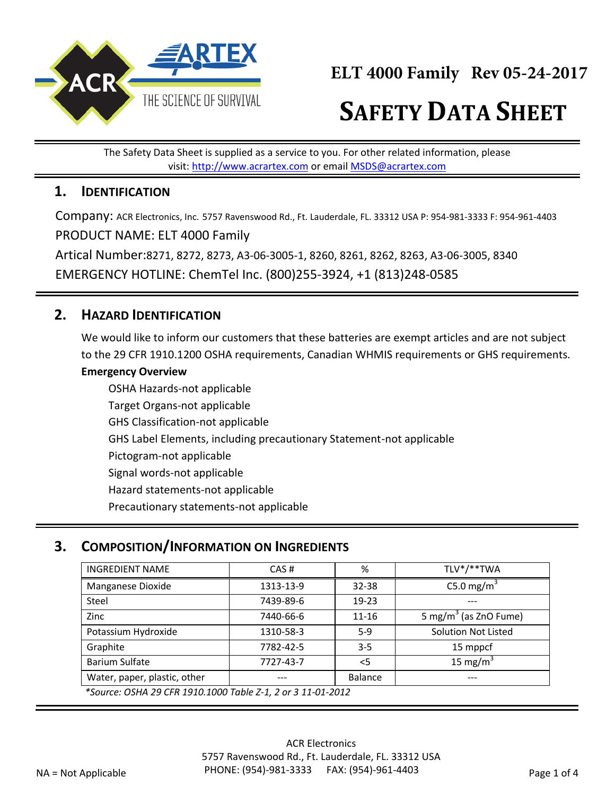

# **SAFETY DATA SHEET**

The Safety Data Sheet is supplied as a service to you. For other related information, please visit: http://www.acrartex.com or email MSDS@acrartex.com

#### **1. IDENTIFICATION**

Company: ACR Electronics, Inc. 5757 Ravenswood Rd., Ft. Lauderdale, FL. 33312 USA P: 954-981-3333 F: 954-961-4403 PRODUCT NAME: ELT 4000 Family

Artical Number:8271, 8272, 8273, A3-06-3005-1, 8260, 8261, 8262, 8263, A3-06-3005, 8340 EMERGENCY HOTLINE: ChemTel Inc. (800)255-3924, +1 (813)248-0585

## **2. HAZARD IDENTIFICATION**

We would like to inform our customers that these batteries are exempt articles and are not subject to the 29 CFR 1910.1200 OSHA requirements, Canadian WHMIS requirements or GHS requirements.

#### **Emergency Overview**

OSHA Hazards-not applicable Target Organs-not applicable GHS Classification-not applicable GHS Label Elements, including precautionary Statement-not applicable Pictogram-not applicable Signal words-not applicable Hazard statements-not applicable Precautionary statements-not applicable

### **3. COMPOSITION/INFORMATION ON INGREDIENTS**

| <b>INGREDIENT NAME</b>                                      | CAS#      | %         | TLV*/**TWA                        |  |
|-------------------------------------------------------------|-----------|-----------|-----------------------------------|--|
| Manganese Dioxide                                           | 1313-13-9 | $32 - 38$ | C5.0 mg/m <sup>3</sup>            |  |
| Steel                                                       | 7439-89-6 | $19 - 23$ |                                   |  |
| Zinc                                                        | 7440-66-6 | $11 - 16$ | 5 mg/m <sup>3</sup> (as ZnO Fume) |  |
| Potassium Hydroxide                                         | 1310-58-3 | $5-9$     | <b>Solution Not Listed</b>        |  |
| Graphite                                                    | 7782-42-5 | $3 - 5$   | 15 mppcf                          |  |
| Barium Sulfate                                              | 7727-43-7 | $<$ 5     | 15 mg/m $3$                       |  |
| Water, paper, plastic, other                                | ---       | Balance   | ---                               |  |
| *Source: OSHA 29 CER 1910 1000 Table 7-1, 2 or 3,11-01-2012 |           |           |                                   |  |

*\*Source: OSHA 29 CFR 1910.1000 Table Z-1, 2 or 3 11-01-2012*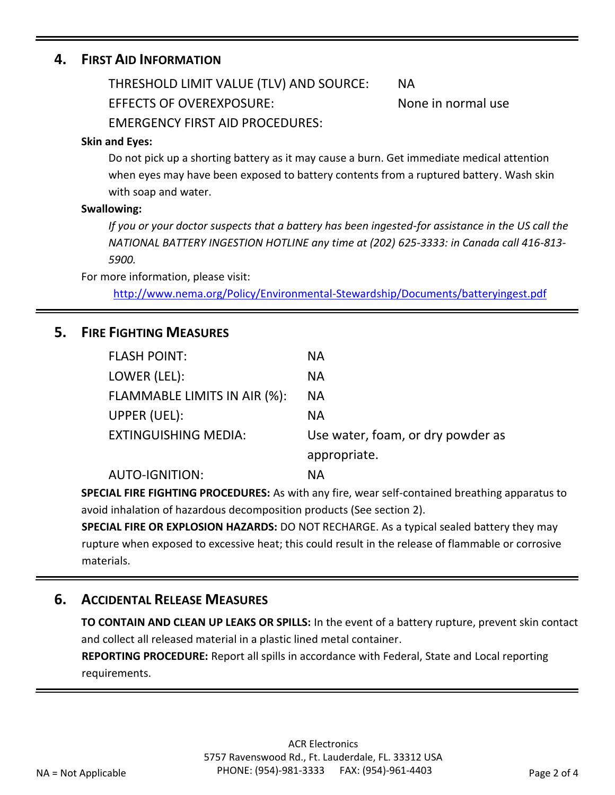#### **4. FIRST AID INFORMATION**

THRESHOLD LIMIT VALUE (TLV) AND SOURCE: NA

EFFECTS OF OVEREXPOSURE: None in normal use

EMERGENCY FIRST AID PROCEDURES:

#### **Skin and Eyes:**

Do not pick up a shorting battery as it may cause a burn. Get immediate medical attention when eyes may have been exposed to battery contents from a ruptured battery. Wash skin with soap and water.

#### **Swallowing:**

*If you or your doctor suspects that a battery has been ingested-for assistance in the US call the NATIONAL BATTERY INGESTION HOTLINE any time at (202) 625-3333: in Canada call 416-813- 5900.* 

For more information, please visit:

<http://www.nema.org/Policy/Environmental-Stewardship/Documents/batteryingest.pdf>

#### **5. FIRE FIGHTING MEASURES**

| <b>FLASH POINT:</b>          | <b>NA</b>                         |
|------------------------------|-----------------------------------|
| LOWER (LEL):                 | <b>NA</b>                         |
| FLAMMABLE LIMITS IN AIR (%): | <b>NA</b>                         |
| UPPER (UEL):                 | <b>NA</b>                         |
| <b>EXTINGUISHING MEDIA:</b>  | Use water, foam, or dry powder as |
|                              | appropriate.                      |
| <b>AUTO-IGNITION:</b>        | ΝA                                |

**SPECIAL FIRE FIGHTING PROCEDURES:** As with any fire, wear self-contained breathing apparatus to avoid inhalation of hazardous decomposition products (See section 2).

**SPECIAL FIRE OR EXPLOSION HAZARDS:** DO NOT RECHARGE. As a typical sealed battery they may rupture when exposed to excessive heat; this could result in the release of flammable or corrosive materials.

### **6. ACCIDENTAL RELEASE MEASURES**

**TO CONTAIN AND CLEAN UP LEAKS OR SPILLS:** In the event of a battery rupture, prevent skin contact and collect all released material in a plastic lined metal container.

**REPORTING PROCEDURE:** Report all spills in accordance with Federal, State and Local reporting requirements.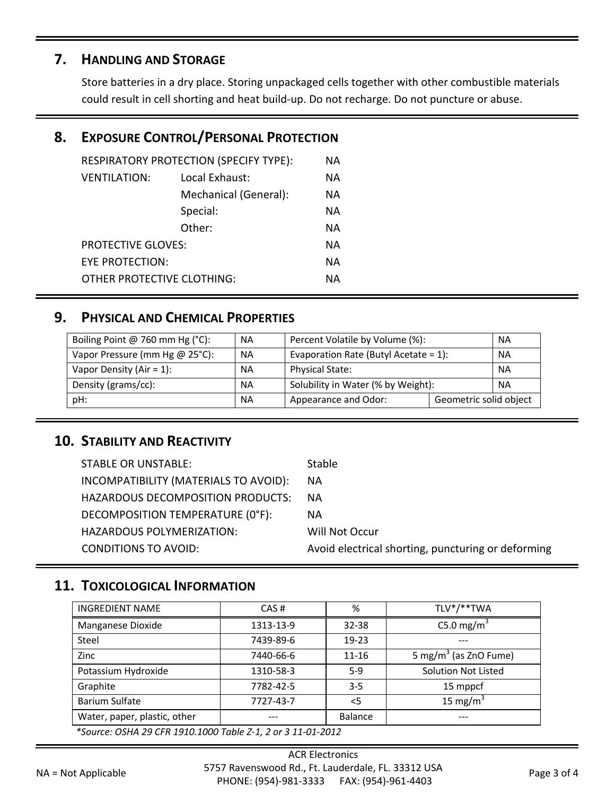## **7. HANDLING AND STORAGE**

Store batteries in a dry place. Storing unpackaged cells together with other combustible materials could result in cell shorting and heat build-up. Do not recharge. Do not puncture or abuse.

## **8. EXPOSURE CONTROL/PERSONAL PROTECTION**

| RESPIRATORY PROTECTION (SPECIFY TYPE):<br>ΝA |                       |           |
|----------------------------------------------|-----------------------|-----------|
| <b>VENTILATION:</b>                          | Local Exhaust:        | <b>NA</b> |
|                                              | Mechanical (General): | ΝA        |
|                                              | Special:              | <b>NA</b> |
|                                              | Other:                | NА        |
| <b>PROTECTIVE GLOVES:</b>                    |                       | NА        |
| EYE PROTECTION:                              |                       | NА        |
| OTHER PROTECTIVE CLOTHING:                   |                       | NА        |
|                                              |                       |           |

### **9. PHYSICAL AND CHEMICAL PROPERTIES**

| Boiling Point @ 760 mm Hg $(^{\circ}C)$ : | <b>NA</b> | Percent Volatile by Volume (%):<br><b>NA</b>          |  |  |
|-------------------------------------------|-----------|-------------------------------------------------------|--|--|
| Vapor Pressure (mm Hg @ 25°C):            | <b>NA</b> | Evaporation Rate (Butyl Acetate = $1$ ):<br><b>NA</b> |  |  |
| Vapor Density (Air = $1$ ):               | <b>NA</b> | <b>Physical State:</b><br><b>NA</b>                   |  |  |
| Density (grams/cc):                       | <b>NA</b> | Solubility in Water (% by Weight):<br><b>NA</b>       |  |  |
| pH:                                       | <b>NA</b> | Geometric solid object<br>Appearance and Odor:        |  |  |

### **10. STABILITY AND REACTIVITY**

| <b>STABLE OR UNSTABLE:</b>            | <b>Stable</b>                                      |
|---------------------------------------|----------------------------------------------------|
| INCOMPATIBILITY (MATERIALS TO AVOID): | NA.                                                |
| HAZARDOUS DECOMPOSITION PRODUCTS:     | <b>NA</b>                                          |
| DECOMPOSITION TEMPERATURE (0°F):      | NА                                                 |
| HAZARDOUS POLYMERIZATION:             | Will Not Occur                                     |
| <b>CONDITIONS TO AVOID:</b>           | Avoid electrical shorting, puncturing or deforming |

## **11. TOXICOLOGICAL INFORMATION**

| <b>INGREDIENT NAME</b>                                      | CAS#      | %         | TLV*/**TWA                        |  |
|-------------------------------------------------------------|-----------|-----------|-----------------------------------|--|
| Manganese Dioxide                                           | 1313-13-9 | $32 - 38$ | C5.0 mg/m <sup>3</sup>            |  |
| Steel                                                       | 7439-89-6 | $19 - 23$ |                                   |  |
| Zinc                                                        | 7440-66-6 | $11 - 16$ | 5 mg/m <sup>3</sup> (as ZnO Fume) |  |
| Potassium Hydroxide                                         | 1310-58-3 | $5-9$     | Solution Not Listed               |  |
| Graphite                                                    | 7782-42-5 | $3 - 5$   | 15 mppcf                          |  |
| Barium Sulfate                                              | 7727-43-7 | $<$ 5     | 15 mg/m $3$                       |  |
| Water, paper, plastic, other                                | ---       | Balance   | ---                               |  |
| *Source: OSHA 29 CFR 1910.1000 Table Z-1, 2 or 3 11-01-2012 |           |           |                                   |  |